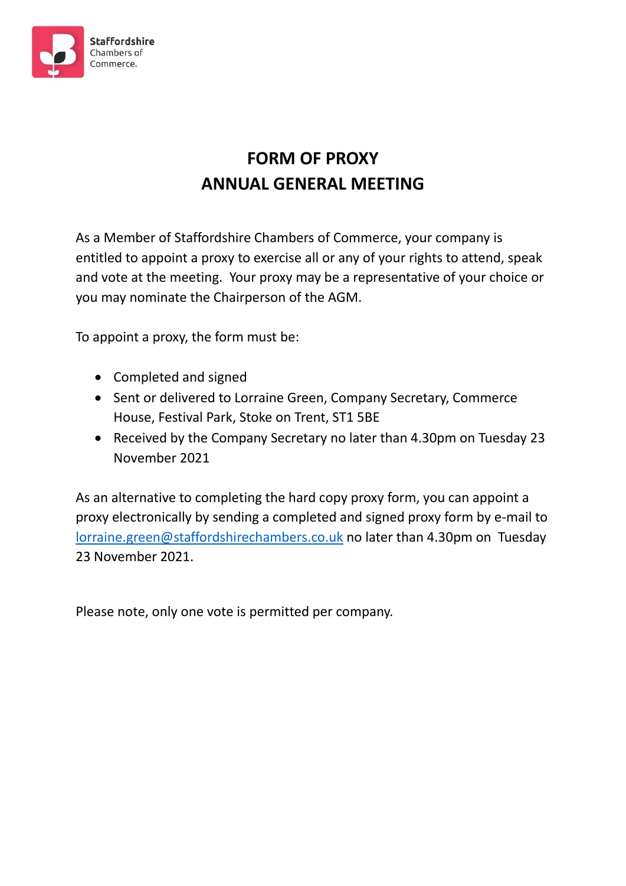

# **FORM OF PROXY ANNUAL GENERAL MEETING**

As a Member of Staffordshire Chambers of Commerce, your company is entitled to appoint a proxy to exercise all or any of your rights to attend, speak and vote at the meeting. Your proxy may be a representative of your choice or you may nominate the Chairperson of the AGM.

To appoint a proxy, the form must be:

- Completed and signed
- Sent or delivered to Lorraine Green, Company Secretary, Commerce House, Festival Park, Stoke on Trent, ST1 5BE
- Received by the Company Secretary no later than 4.30pm on Tuesday 23 November 2021

As an alternative to completing the hard copy proxy form, you can appoint a proxy electronically by sending a completed and signed proxy form by e-mail to [lorraine.green@staffordshirechambers.co.uk](mailto:lorraine.green@staffordshirechambers.co.uk) no later than 4.30pm on Tuesday 23 November 2021.

Please note, only one vote is permitted per company.